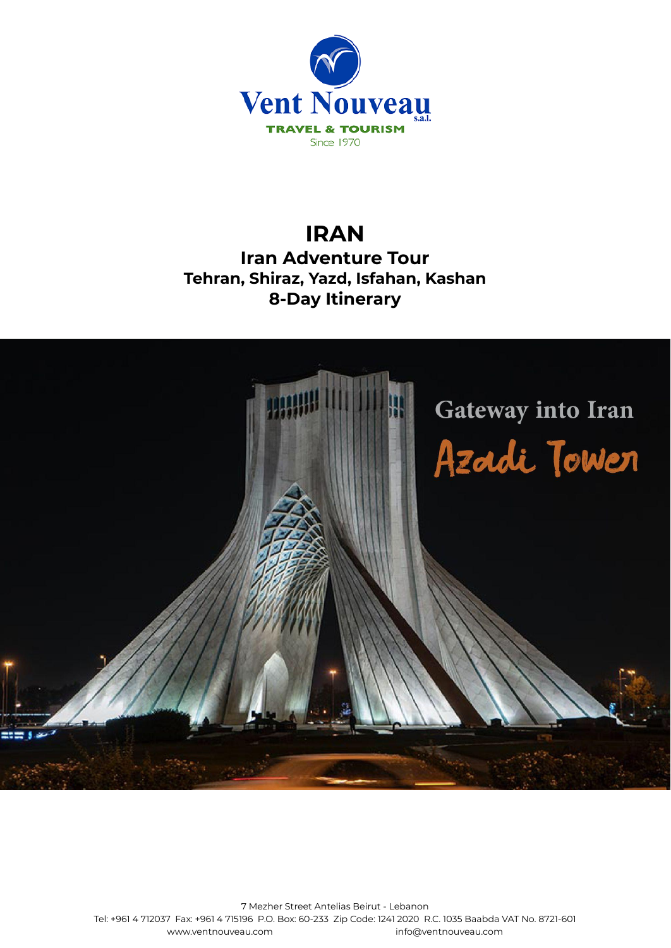

# **IRAN Iran Adventure Tour Tehran, Shiraz, Yazd, Isfahan, Kashan 8-Day Itinerary**



7 Mezher Street Antelias Beirut - Lebanon Tel: +961 4 712037 Fax: +961 4 715196 P.O. Box: 60-233 Zip Code: 1241 2020 R.C. 1035 Baabda VAT No. 8721-601 [www.ventnouveau.com](http://www.ventnouveau.com) info@ventnouveau.com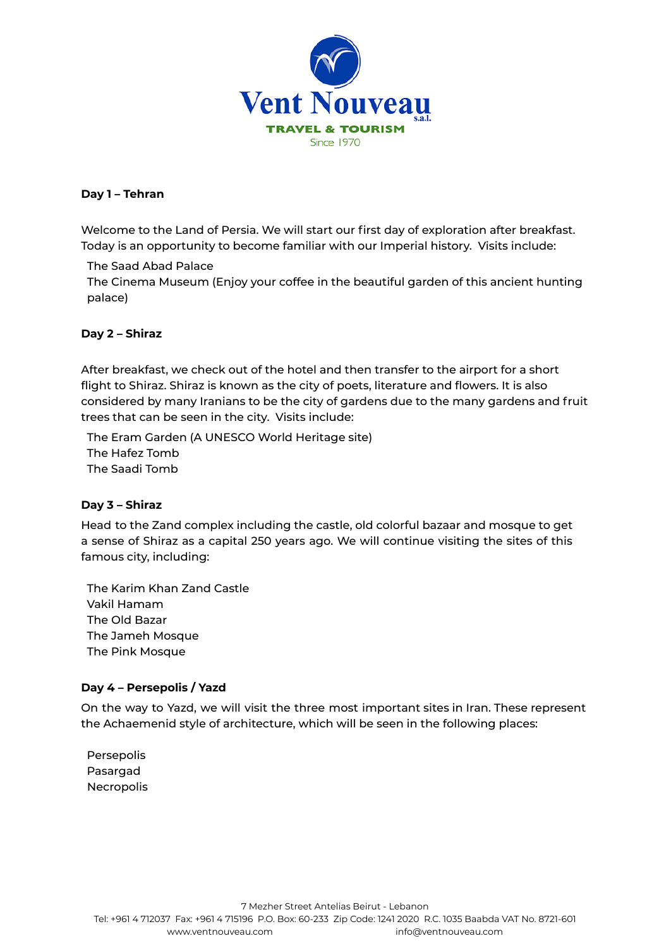

# **Day 1 – Tehran**

Welcome to the Land of Persia. We will start our first day of exploration after breakfast. Today is an opportunity to become familiar with our Imperial history. Visits include:

# The Saad Abad Palace

The Cinema Museum (Enjoy your coffee in the beautiful garden of this ancient hunting palace)

#### **Day 2 – Shiraz**

After breakfast, we check out of the hotel and then transfer to the airport for a short flight to Shiraz. Shiraz is known as the city of poets, literature and flowers. It is also considered by many Iranians to be the city of gardens due to the many gardens and fruit trees that can be seen in the city. Visits include:

The Eram Garden (A UNESCO World Heritage site) The Hafez Tomb The Saadi Tomb

# **Day 3 – Shiraz**

Head to the Zand complex including the castle, old colorful bazaar and mosque to get a sense of Shiraz as a capital 250 years ago. We will continue visiting the sites of this famous city, including:

The Karim Khan Zand Castle Vakil Hamam The Old Bazar The Jameh Mosque The Pink Mosque

# **Day 4 – Persepolis / Yazd**

On the way to Yazd, we will visit the three most important sites in Iran. These represent the Achaemenid style of architecture, which will be seen in the following places:

Persepolis Pasargad Necropolis